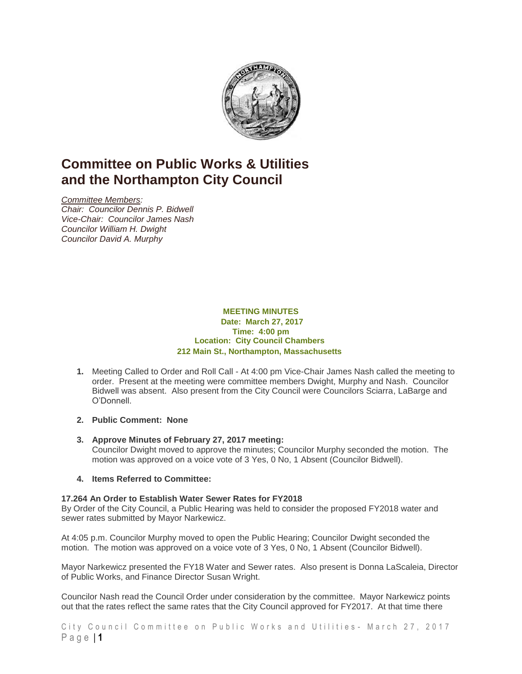

# **Committee on Public Works & Utilities and the Northampton City Council**

*Committee Members: Chair: Councilor Dennis P. Bidwell Vice-Chair: Councilor James Nash Councilor William H. Dwight Councilor David A. Murphy*

#### **MEETING MINUTES Date: March 27, 2017 Time: 4:00 pm Location: City Council Chambers 212 Main St., Northampton, Massachusetts**

- **1.** Meeting Called to Order and Roll Call At 4:00 pm Vice-Chair James Nash called the meeting to order. Present at the meeting were committee members Dwight, Murphy and Nash. Councilor Bidwell was absent. Also present from the City Council were Councilors Sciarra, LaBarge and O'Donnell.
- **2. Public Comment: None**
- **3. Approve Minutes of February 27, 2017 meeting:** Councilor Dwight moved to approve the minutes; Councilor Murphy seconded the motion. The motion was approved on a voice vote of 3 Yes, 0 No, 1 Absent (Councilor Bidwell).
- **4. Items Referred to Committee:**

### **17.264 An Order to Establish Water Sewer Rates for FY2018**

By Order of the City Council, a Public Hearing was held to consider the proposed FY2018 water and sewer rates submitted by Mayor Narkewicz.

At 4:05 p.m. Councilor Murphy moved to open the Public Hearing; Councilor Dwight seconded the motion. The motion was approved on a voice vote of 3 Yes, 0 No, 1 Absent (Councilor Bidwell).

Mayor Narkewicz presented the FY18 Water and Sewer rates. Also present is Donna LaScaleia, Director of Public Works, and Finance Director Susan Wright.

Councilor Nash read the Council Order under consideration by the committee. Mayor Narkewicz points out that the rates reflect the same rates that the City Council approved for FY2017. At that time there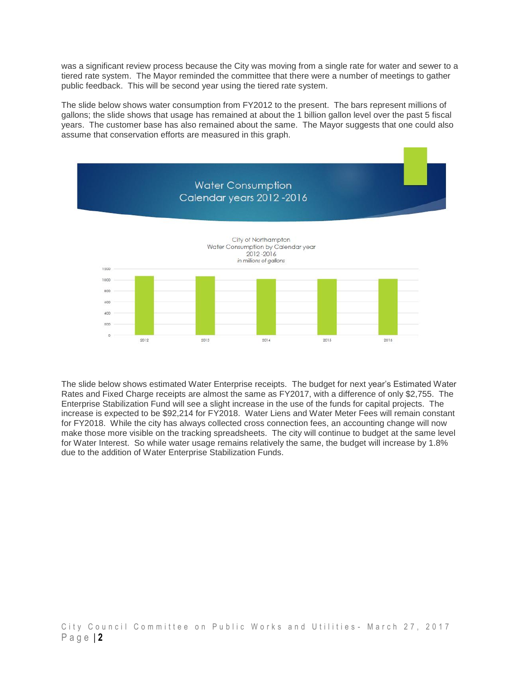was a significant review process because the City was moving from a single rate for water and sewer to a tiered rate system. The Mayor reminded the committee that there were a number of meetings to gather public feedback. This will be second year using the tiered rate system.

The slide below shows water consumption from FY2012 to the present. The bars represent millions of gallons; the slide shows that usage has remained at about the 1 billion gallon level over the past 5 fiscal years. The customer base has also remained about the same. The Mayor suggests that one could also assume that conservation efforts are measured in this graph.



The slide below shows estimated Water Enterprise receipts. The budget for next year's Estimated Water Rates and Fixed Charge receipts are almost the same as FY2017, with a difference of only \$2,755. The Enterprise Stabilization Fund will see a slight increase in the use of the funds for capital projects. The increase is expected to be \$92,214 for FY2018. Water Liens and Water Meter Fees will remain constant for FY2018. While the city has always collected cross connection fees, an accounting change will now make those more visible on the tracking spreadsheets. The city will continue to budget at the same level for Water Interest. So while water usage remains relatively the same, the budget will increase by 1.8% due to the addition of Water Enterprise Stabilization Funds.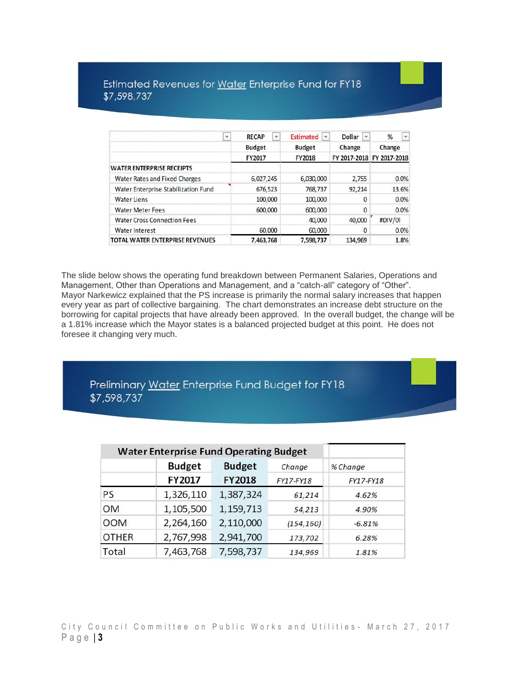### Estimated Revenues for Water Enterprise Fund for FY18 \$7,598,737

| $\overline{\mathbf{v}}$                | <b>RECAP</b><br>v | <b>Estimated</b><br>۳ | <b>Dollar</b><br>$\overline{\mathbf{v}}$ | $\mathbf{v}$<br>%         |  |
|----------------------------------------|-------------------|-----------------------|------------------------------------------|---------------------------|--|
|                                        | <b>Budget</b>     | <b>Budget</b>         | Change                                   | Change                    |  |
|                                        | <b>FY2017</b>     | <b>FY2018</b>         |                                          | FY 2017-2018 FY 2017-2018 |  |
| <b>WATER ENTERPRISE RECEIPTS</b>       |                   |                       |                                          |                           |  |
| <b>Water Rates and Fixed Charges</b>   | 6,027,245         | 6,030,000             | 2,755                                    | 0.0%                      |  |
| Water Enterprise Stabilization Fund    | 676,523           | 768,737               | 92,214                                   | 13.6%                     |  |
| <b>Water Liens</b>                     | 100,000           | 100,000               | 0                                        | 0.0%                      |  |
| <b>Water Meter Fees</b>                | 600,000           | 600,000               | 0                                        | 0.0%                      |  |
| <b>Water Cross Connection Fees</b>     |                   | 40,000                | 40,000                                   | #DIV/0!                   |  |
| Water Interest                         | 60,000            | 60,000                | 0                                        | 0.0%                      |  |
| <b>TOTAL WATER ENTERPRISE REVENUES</b> | 7,463,768         | 7,598,737             | 134,969                                  | 1.8%                      |  |

The slide below shows the operating fund breakdown between Permanent Salaries, Operations and Management, Other than Operations and Management, and a "catch-all" category of "Other". Mayor Narkewicz explained that the PS increase is primarily the normal salary increases that happen every year as part of collective bargaining. The chart demonstrates an increase debt structure on the borrowing for capital projects that have already been approved. In the overall budget, the change will be a 1.81% increase which the Mayor states is a balanced projected budget at this point. He does not foresee it changing very much.

Preliminary Water Enterprise Fund Budget for FY18 \$7,598,737

|              | <b>Water Enterprise Fund Operating Budget</b> |               |                  |           |
|--------------|-----------------------------------------------|---------------|------------------|-----------|
|              | <b>Budget</b>                                 | <b>Budget</b> | Change           | % Change  |
|              | <b>FY2017</b>                                 | <b>FY2018</b> | <b>FY17-FY18</b> | FY17-FY18 |
| <b>PS</b>    | 1,326,110                                     | 1,387,324     | 61,214           | 4.62%     |
| <b>OM</b>    | 1,105,500                                     | 1,159,713     | 54,213           | 4.90%     |
| <b>OOM</b>   | 2,264,160                                     | 2,110,000     | (154, 160)       | $-6.81%$  |
| <b>OTHER</b> | 2,767,998                                     | 2,941,700     | 173,702          | 6.28%     |
| Total        | 7,463,768                                     | 7,598,737     | 134,969          | 1.81%     |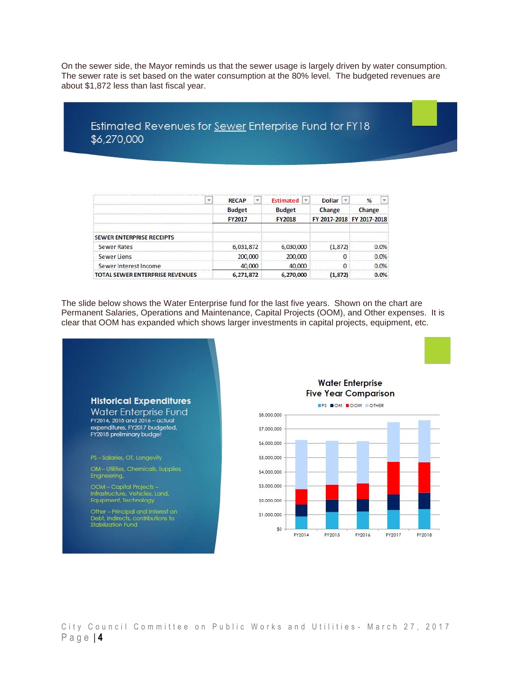On the sewer side, the Mayor reminds us that the sewer usage is largely driven by water consumption. The sewer rate is set based on the water consumption at the 80% level. The budgeted revenues are about \$1,872 less than last fiscal year.

### Estimated Revenues for Sewer Enterprise Fund for FY18 \$6,270,000

| v                                      | <b>RECAP</b>  | <b>Estimated</b><br>$\mathbf{v}$ | <b>Dollar</b><br>$\mathbf{v}$ | $\frac{9}{6}$             |
|----------------------------------------|---------------|----------------------------------|-------------------------------|---------------------------|
|                                        | <b>Budget</b> | <b>Budget</b>                    | Change                        | Change                    |
|                                        | <b>FY2017</b> | <b>FY2018</b>                    |                               | FY 2017-2018 FY 2017-2018 |
| <b>SEWER ENTERPRISE RECEIPTS</b>       |               |                                  |                               |                           |
| <b>Sewer Rates</b>                     | 6,031,872     | 6,030,000                        | (1, 872)                      | 0.0%                      |
| <b>Sewer Liens</b>                     | 200,000       | 200,000                          |                               | 0.0%                      |
| Sewer Interest Income                  | 40,000        | 40,000                           | n                             | 0.0%                      |
| <b>TOTAL SEWER ENTERPRISE REVENUES</b> | 6.271.872     | 6,270,000                        | (1.872)                       | 0.0%                      |

The slide below shows the Water Enterprise fund for the last five years. Shown on the chart are Permanent Salaries, Operations and Maintenance, Capital Projects (OOM), and Other expenses. It is clear that OOM has expanded which shows larger investments in capital projects, equipment, etc.

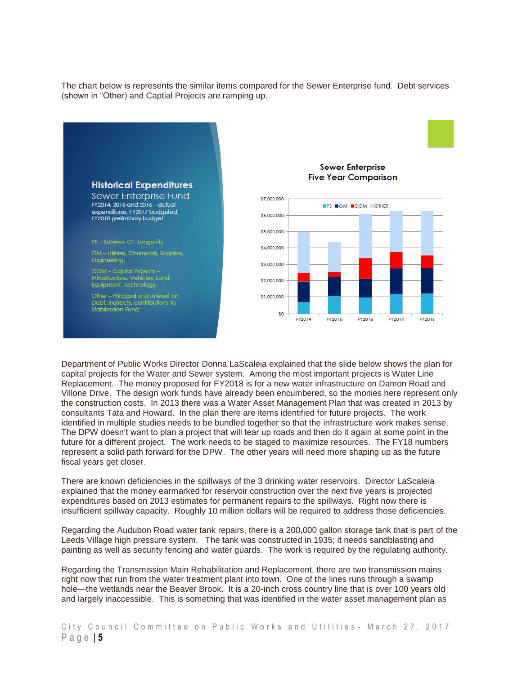The chart below is represents the similar items compared for the Sewer Enterprise fund. Debt services (shown in "Other) and Captial Projects are ramping up.



Department of Public Works Director Donna LaScaleia explained that the slide below shows the plan for capital projects for the Water and Sewer system. Among the most important projects is Water Line Replacement. The money proposed for FY2018 is for a new water infrastructure on Damon Road and Villone Drive. The design work funds have already been encumbered, so the monies here represent only the construction costs. In 2013 there was a Water Asset Management Plan that was created in 2013 by consultants Tata and Howard. In the plan there are items identified for future projects. The work identified in multiple studies needs to be bundled together so that the infrastructure work makes sense. The DPW doesn't want to plan a project that will tear up roads and then do it again at some point in the future for a different project. The work needs to be staged to maximize resources. The FY18 numbers represent a solid path forward for the DPW. The other years will need more shaping up as the future fiscal years get closer.

There are known deficiencies in the spillways of the 3 drinking water reservoirs. Director LaScaleia explained that the money earmarked for reservoir construction over the next five years is projected expenditures based on 2013 estimates for permanent repairs to the spillways. Right now there is insufficient spillway capacity. Roughly 10 million dollars will be required to address those deficiencies.

Regarding the Audubon Road water tank repairs, there is a 200,000 gallon storage tank that is part of the Leeds Village high pressure system. The tank was constructed in 1935; it needs sandblasting and painting as well as security fencing and water guards. The work is required by the regulating authority.

Regarding the Transmission Main Rehabilitation and Replacement, there are two transmission mains right now that run from the water treatment plant into town. One of the lines runs through a swamp hole—the wetlands near the Beaver Brook. It is a 20-inch cross country line that is over 100 years old and largely inaccessible. This is something that was identified in the water asset management plan as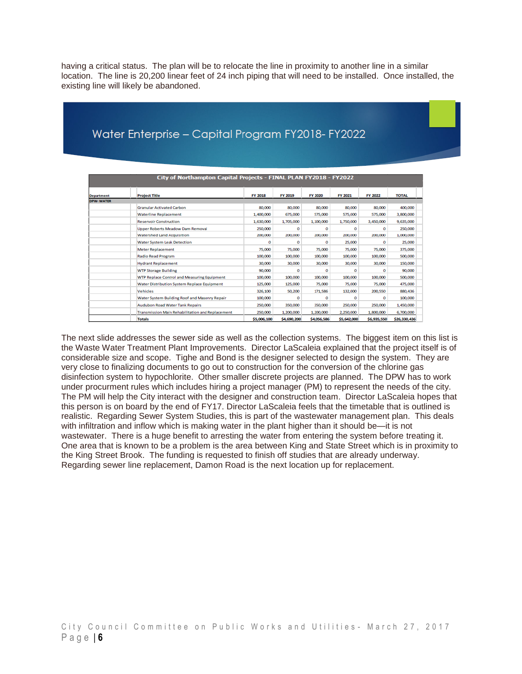having a critical status. The plan will be to relocate the line in proximity to another line in a similar location. The line is 20,200 linear feet of 24 inch piping that will need to be installed. Once installed, the existing line will likely be abandoned.

## Water Enterprise - Capital Program FY2018- FY2022

|                   | City of Northampton Capital Projects - FINAL PLAN FY2018 - FY2022 |                |             |             |             |             |              |  |
|-------------------|-------------------------------------------------------------------|----------------|-------------|-------------|-------------|-------------|--------------|--|
| <b>Department</b> | <b>Project Title</b>                                              | <b>FY 2018</b> | FY 2019     | FY 2020     | FY 2021     | FY 2022     | <b>TOTAL</b> |  |
| <b>DPW-WATER</b>  |                                                                   |                |             |             |             |             |              |  |
|                   | <b>Granular Activated Carbon</b>                                  | 80,000         | 80,000      | 80,000      | 80,000      | 80,000      | 400,000      |  |
|                   | <b>Waterline Replacement</b>                                      | 1,400,000      | 675,000     | 575,000     | 575,000     | 575,000     | 3,800,000    |  |
|                   | <b>Reservoir Construction</b>                                     | 1.630.000      | 1,705,000   | 1.100,000   | 1,750,000   | 3,450,000   | 9.635.000    |  |
|                   | <b>Upper Roberts Meadow Dam Removal</b>                           | 250,000        | o           | o           | o           | o           | 250,000      |  |
|                   | <b>Watershed Land Acquisition</b>                                 | 200,000        | 200,000     | 200,000     | 200,000     | 200,000     | 1,000,000    |  |
|                   | <b>Water System Leak Detection</b>                                | o              | $\Omega$    | o           | 25,000      | o           | 25,000       |  |
|                   | <b>Meter Replacement</b>                                          | 75,000         | 75,000      | 75,000      | 75,000      | 75,000      | 375,000      |  |
|                   | <b>Radio Read Program</b>                                         | 100,000        | 100,000     | 100,000     | 100,000     | 100,000     | 500,000      |  |
|                   | <b>Hydrant Replacement</b>                                        | 30,000         | 30,000      | 30,000      | 30,000      | 30,000      | 150,000      |  |
|                   | <b>WTP Storage Building</b>                                       | 90.000         | o           | $\Omega$    | o           | o           | 90.000       |  |
|                   | <b>WTP Replace Control and Measuring Equipment</b>                | 100,000        | 100,000     | 100,000     | 100,000     | 100,000     | 500,000      |  |
|                   | Water Distribution System Replace Equipment                       | 125,000        | 125,000     | 75,000      | 75,000      | 75,000      | 475,000      |  |
|                   | Vehicles                                                          | 326,100        | 50,200      | 171,586     | 132,000     | 200,550     | 880.436      |  |
|                   | Water System Building Roof and Masonry Repair                     | 100,000        | $\Omega$    | $\Omega$    | o           | $\Omega$    | 100,000      |  |
|                   | <b>Audubon Road Water Tank Repairs</b>                            | 250,000        | 350,000     | 350,000     | 250,000     | 250,000     | 1,450,000    |  |
|                   | Transmission Main Rehabilitation and Replacement                  | 250,000        | 1,200,000   | 1,200,000   | 2,250,000   | 1,800,000   | 6,700,000    |  |
|                   | <b>Totals</b>                                                     | \$5,006,100    | \$4,690,200 | \$4,056,586 | \$5,642,000 | \$6,935,550 | \$26,330,436 |  |

The next slide addresses the sewer side as well as the collection systems. The biggest item on this list is the Waste Water Treatment Plant Improvements. Director LaScaleia explained that the project itself is of considerable size and scope. Tighe and Bond is the designer selected to design the system. They are very close to finalizing documents to go out to construction for the conversion of the chlorine gas disinfection system to hypochlorite. Other smaller discrete projects are planned. The DPW has to work under procurment rules which includes hiring a project manager (PM) to represent the needs of the city. The PM will help the City interact with the designer and construction team. Director LaScaleia hopes that this person is on board by the end of FY17. Director LaScaleia feels that the timetable that is outlined is realistic. Regarding Sewer System Studies, this is part of the wastewater management plan. This deals with infiltration and inflow which is making water in the plant higher than it should be—it is not wastewater. There is a huge benefit to arresting the water from entering the system before treating it. One area that is known to be a problem is the area between King and State Street which is in proximity to the King Street Brook. The funding is requested to finish off studies that are already underway. Regarding sewer line replacement, Damon Road is the next location up for replacement.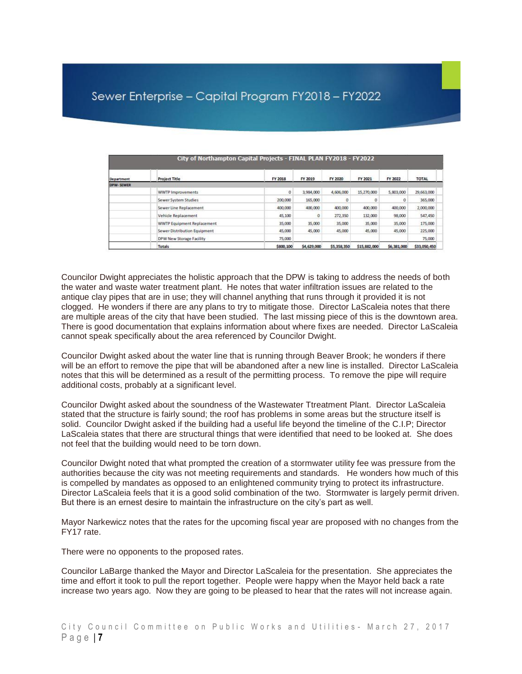| City of Northampton Capital Projects - FINAL PLAN FY2018 - FY2022 |                                   |            |             |             |              |             |              |
|-------------------------------------------------------------------|-----------------------------------|------------|-------------|-------------|--------------|-------------|--------------|
| Department                                                        | <b>Project Title</b>              | FY 2018    | FY 2019     | FY 2020     | FY 2021      | FY 2022     | <b>TOTAL</b> |
| DPW-SEWER                                                         |                                   |            |             |             |              |             |              |
|                                                                   | <b>WWTP Improvements</b>          | $^{\circ}$ | 3,984,000   | 4,606,000   | 15,270,000   | 5,803,000   | 29,663,000   |
|                                                                   | Sewer System Studies              | 200,000    | 165,000     | 0           |              | 0           | 365,000      |
|                                                                   | Sewer Line Replacement            | 400,000    | 400,000     | 400,000     | 400,000      | 400,000     | 2,000,000    |
|                                                                   | Vehicle Replacement               | 45,100     | o           | 272,350     | 132,000      | 98,000      | 547,450      |
|                                                                   | <b>WWTP Equipment Replacement</b> | 35,000     | 35,000      | 35,000      | 35,000       | 35,000      | 175,000      |
|                                                                   | Sewer Distribution Equipment      | 45,000     | 45,000      | 45,000      | 45,000       | 45,000      | 225,000      |
|                                                                   | DPW New Storage Facility          | 75,000     |             |             |              |             | 75,000       |
|                                                                   | <b>Totals</b>                     | \$800,100  | \$4,629,000 | \$5,358,350 | \$15,882,000 | \$6,381,000 | \$33,050,450 |

Councilor Dwight appreciates the holistic approach that the DPW is taking to address the needs of both the water and waste water treatment plant. He notes that water infiltration issues are related to the antique clay pipes that are in use; they will channel anything that runs through it provided it is not clogged. He wonders if there are any plans to try to mitigate those. Director LaScaleia notes that there are multiple areas of the city that have been studied. The last missing piece of this is the downtown area. There is good documentation that explains information about where fixes are needed. Director LaScaleia cannot speak specifically about the area referenced by Councilor Dwight.

Councilor Dwight asked about the water line that is running through Beaver Brook; he wonders if there will be an effort to remove the pipe that will be abandoned after a new line is installed. Director LaScaleia notes that this will be determined as a result of the permitting process. To remove the pipe will require additional costs, probably at a significant level.

Councilor Dwight asked about the soundness of the Wastewater Ttreatment Plant. Director LaScaleia stated that the structure is fairly sound; the roof has problems in some areas but the structure itself is solid. Councilor Dwight asked if the building had a useful life beyond the timeline of the C.I.P; Director LaScaleia states that there are structural things that were identified that need to be looked at. She does not feel that the building would need to be torn down.

Councilor Dwight noted that what prompted the creation of a stormwater utility fee was pressure from the authorities because the city was not meeting requirements and standards. He wonders how much of this is compelled by mandates as opposed to an enlightened community trying to protect its infrastructure. Director LaScaleia feels that it is a good solid combination of the two. Stormwater is largely permit driven. But there is an ernest desire to maintain the infrastructure on the city's part as well.

Mayor Narkewicz notes that the rates for the upcoming fiscal year are proposed with no changes from the FY17 rate.

There were no opponents to the proposed rates.

Councilor LaBarge thanked the Mayor and Director LaScaleia for the presentation. She appreciates the time and effort it took to pull the report together. People were happy when the Mayor held back a rate increase two years ago. Now they are going to be pleased to hear that the rates will not increase again.